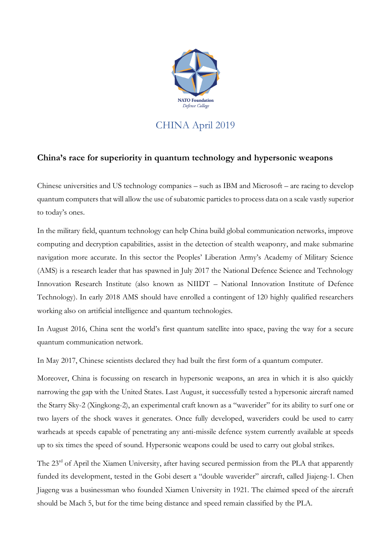

## CHINA April 2019

## **China's race for superiority in quantum technology and hypersonic weapons**

Chinese universities and US technology companies – such as IBM and Microsoft – are racing to develop quantum computers that will allow the use of subatomic particles to process data on a scale vastly superior to today's ones.

In the military field, quantum technology can help China build global communication networks, improve computing and decryption capabilities, assist in the detection of stealth weaponry, and make submarine navigation more accurate. In this sector the Peoples' Liberation Army's Academy of Military Science (AMS) is a research leader that has spawned in July 2017 the National Defence Science and Technology Innovation Research Institute (also known as NIIDT – National Innovation Institute of Defence Technology). In early 2018 AMS should have enrolled a contingent of 120 highly qualified researchers working also on artificial intelligence and quantum technologies.

In August 2016, China sent the world's first quantum satellite into space, paving the way for a secure quantum communication network.

In May 2017, Chinese scientists declared they had built the first form of a quantum computer.

Moreover, China is focussing on research in hypersonic weapons, an area in which it is also quickly narrowing the gap with the United States. Last August, it successfully tested a hypersonic aircraft named the Starry Sky-2 (Xingkong-2), an experimental craft known as a "waverider" for its ability to surf one or two layers of the shock waves it generates. Once fully developed, waveriders could be used to carry warheads at speeds capable of penetrating any anti-missile defence system currently available at speeds up to six times the speed of sound. Hypersonic weapons could be used to carry out global strikes.

The 23<sup>rd</sup> of April the Xiamen University, after having secured permission from the PLA that apparently funded its development, tested in the Gobi desert a "double waverider" aircraft, called Jiajeng-1. Chen Jiageng was a businessman who founded Xiamen University in 1921. The claimed speed of the aircraft should be Mach 5, but for the time being distance and speed remain classified by the PLA.